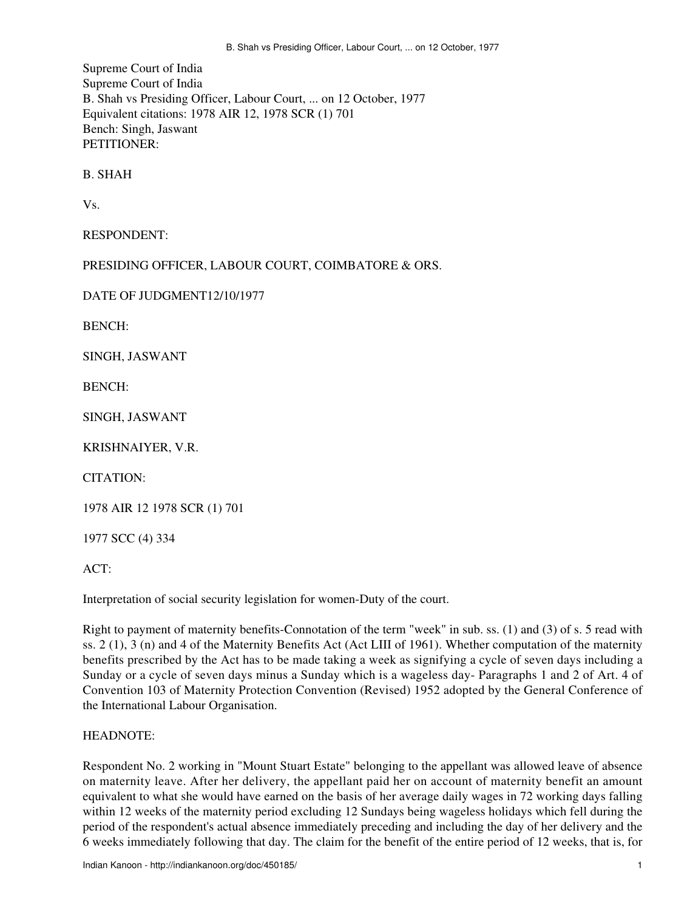Supreme Court of India Supreme Court of India B. Shah vs Presiding Officer, Labour Court, ... on 12 October, 1977 Equivalent citations: 1978 AIR 12, 1978 SCR (1) 701 Bench: Singh, Jaswant PETITIONER:

B. SHAH

Vs.

RESPONDENT:

PRESIDING OFFICER, LABOUR COURT, COIMBATORE & ORS.

DATE OF JUDGMENT12/10/1977

BENCH:

SINGH, JASWANT

BENCH:

SINGH, JASWANT

KRISHNAIYER, V.R.

CITATION:

1978 AIR 12 1978 SCR (1) 701

1977 SCC (4) 334

ACT:

Interpretation of social security legislation for women-Duty of the court.

Right to payment of maternity benefits-Connotation of the term "week" in sub. ss. (1) and (3) of s. 5 read with ss. 2 (1), 3 (n) and 4 of the Maternity Benefits Act (Act LIII of 1961). Whether computation of the maternity benefits prescribed by the Act has to be made taking a week as signifying a cycle of seven days including a Sunday or a cycle of seven days minus a Sunday which is a wageless day- Paragraphs 1 and 2 of Art. 4 of Convention 103 of Maternity Protection Convention (Revised) 1952 adopted by the General Conference of the International Labour Organisation.

#### HEADNOTE:

Respondent No. 2 working in "Mount Stuart Estate" belonging to the appellant was allowed leave of absence on maternity leave. After her delivery, the appellant paid her on account of maternity benefit an amount equivalent to what she would have earned on the basis of her average daily wages in 72 working days falling within 12 weeks of the maternity period excluding 12 Sundays being wageless holidays which fell during the period of the respondent's actual absence immediately preceding and including the day of her delivery and the 6 weeks immediately following that day. The claim for the benefit of the entire period of 12 weeks, that is, for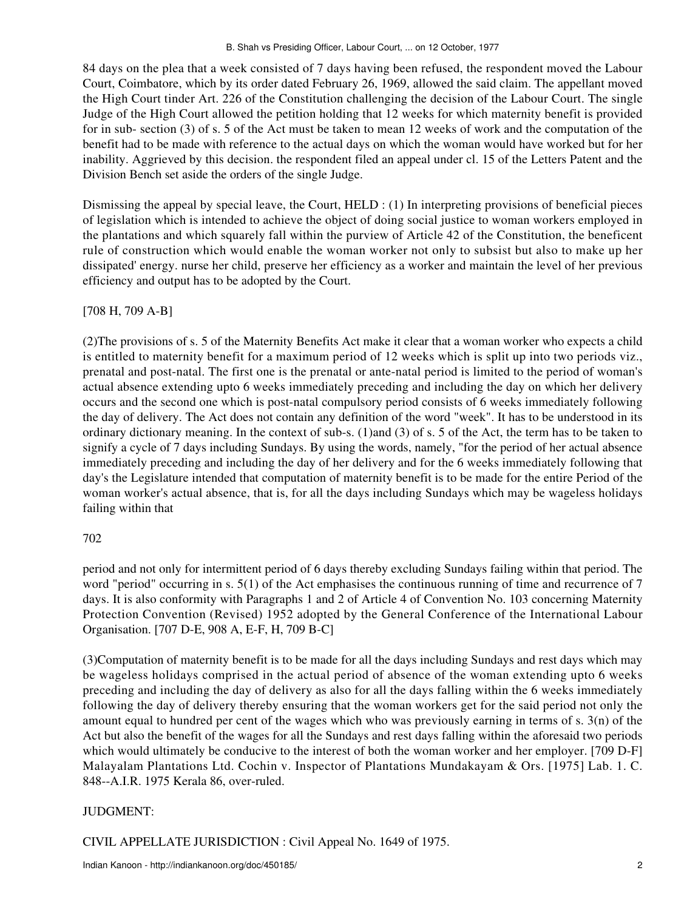84 days on the plea that a week consisted of 7 days having been refused, the respondent moved the Labour Court, Coimbatore, which by its order dated February 26, 1969, allowed the said claim. The appellant moved the High Court tinder Art. 226 of the Constitution challenging the decision of the Labour Court. The single Judge of the High Court allowed the petition holding that 12 weeks for which maternity benefit is provided for in sub- section (3) of s. 5 of the Act must be taken to mean 12 weeks of work and the computation of the benefit had to be made with reference to the actual days on which the woman would have worked but for her inability. Aggrieved by this decision. the respondent filed an appeal under cl. 15 of the Letters Patent and the Division Bench set aside the orders of the single Judge.

Dismissing the appeal by special leave, the Court, HELD : (1) In interpreting provisions of beneficial pieces of legislation which is intended to achieve the object of doing social justice to woman workers employed in the plantations and which squarely fall within the purview of Article 42 of the Constitution, the beneficent rule of construction which would enable the woman worker not only to subsist but also to make up her dissipated' energy. nurse her child, preserve her efficiency as a worker and maintain the level of her previous efficiency and output has to be adopted by the Court.

## [708 H, 709 A-B]

(2)The provisions of s. 5 of the Maternity Benefits Act make it clear that a woman worker who expects a child is entitled to maternity benefit for a maximum period of 12 weeks which is split up into two periods viz., prenatal and post-natal. The first one is the prenatal or ante-natal period is limited to the period of woman's actual absence extending upto 6 weeks immediately preceding and including the day on which her delivery occurs and the second one which is post-natal compulsory period consists of 6 weeks immediately following the day of delivery. The Act does not contain any definition of the word "week". It has to be understood in its ordinary dictionary meaning. In the context of sub-s. (1)and (3) of s. 5 of the Act, the term has to be taken to signify a cycle of 7 days including Sundays. By using the words, namely, "for the period of her actual absence immediately preceding and including the day of her delivery and for the 6 weeks immediately following that day's the Legislature intended that computation of maternity benefit is to be made for the entire Period of the woman worker's actual absence, that is, for all the days including Sundays which may be wageless holidays failing within that

## 702

period and not only for intermittent period of 6 days thereby excluding Sundays failing within that period. The word "period" occurring in s. 5(1) of the Act emphasises the continuous running of time and recurrence of 7 days. It is also conformity with Paragraphs 1 and 2 of Article 4 of Convention No. 103 concerning Maternity Protection Convention (Revised) 1952 adopted by the General Conference of the International Labour Organisation. [707 D-E, 908 A, E-F, H, 709 B-C]

(3)Computation of maternity benefit is to be made for all the days including Sundays and rest days which may be wageless holidays comprised in the actual period of absence of the woman extending upto 6 weeks preceding and including the day of delivery as also for all the days falling within the 6 weeks immediately following the day of delivery thereby ensuring that the woman workers get for the said period not only the amount equal to hundred per cent of the wages which who was previously earning in terms of s. 3(n) of the Act but also the benefit of the wages for all the Sundays and rest days falling within the aforesaid two periods which would ultimately be conducive to the interest of both the woman worker and her employer. [709 D-F] Malayalam Plantations Ltd. Cochin v. Inspector of Plantations Mundakayam & Ors. [1975] Lab. 1. C. 848--A.I.R. 1975 Kerala 86, over-ruled.

# JUDGMENT:

CIVIL APPELLATE JURISDICTION : Civil Appeal No. 1649 of 1975.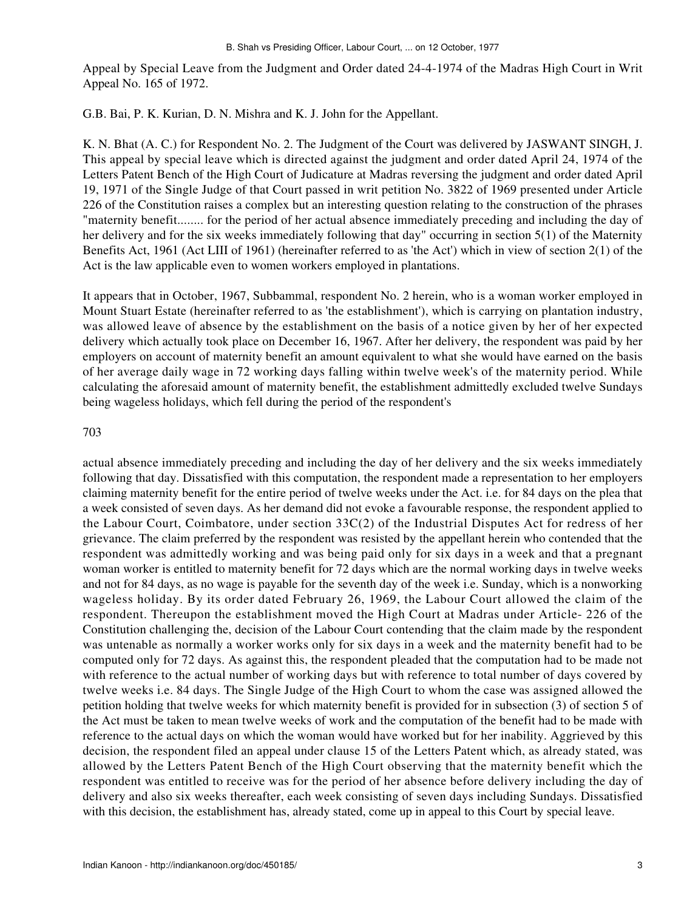Appeal by Special Leave from the Judgment and Order dated 24-4-1974 of the Madras High Court in Writ Appeal No. 165 of 1972.

G.B. Bai, P. K. Kurian, D. N. Mishra and K. J. John for the Appellant.

K. N. Bhat (A. C.) for Respondent No. 2. The Judgment of the Court was delivered by JASWANT SINGH, J. This appeal by special leave which is directed against the judgment and order dated April 24, 1974 of the Letters Patent Bench of the High Court of Judicature at Madras reversing the judgment and order dated April 19, 1971 of the Single Judge of that Court passed in writ petition No. 3822 of 1969 presented under Article 226 of the Constitution raises a complex but an interesting question relating to the construction of the phrases "maternity benefit........ for the period of her actual absence immediately preceding and including the day of her delivery and for the six weeks immediately following that day" occurring in section 5(1) of the Maternity Benefits Act, 1961 (Act LIII of 1961) (hereinafter referred to as 'the Act') which in view of section 2(1) of the Act is the law applicable even to women workers employed in plantations.

It appears that in October, 1967, Subbammal, respondent No. 2 herein, who is a woman worker employed in Mount Stuart Estate (hereinafter referred to as 'the establishment'), which is carrying on plantation industry, was allowed leave of absence by the establishment on the basis of a notice given by her of her expected delivery which actually took place on December 16, 1967. After her delivery, the respondent was paid by her employers on account of maternity benefit an amount equivalent to what she would have earned on the basis of her average daily wage in 72 working days falling within twelve week's of the maternity period. While calculating the aforesaid amount of maternity benefit, the establishment admittedly excluded twelve Sundays being wageless holidays, which fell during the period of the respondent's

#### 703

actual absence immediately preceding and including the day of her delivery and the six weeks immediately following that day. Dissatisfied with this computation, the respondent made a representation to her employers claiming maternity benefit for the entire period of twelve weeks under the Act. i.e. for 84 days on the plea that a week consisted of seven days. As her demand did not evoke a favourable response, the respondent applied to the Labour Court, Coimbatore, under section 33C(2) of the Industrial Disputes Act for redress of her grievance. The claim preferred by the respondent was resisted by the appellant herein who contended that the respondent was admittedly working and was being paid only for six days in a week and that a pregnant woman worker is entitled to maternity benefit for 72 days which are the normal working days in twelve weeks and not for 84 days, as no wage is payable for the seventh day of the week i.e. Sunday, which is a nonworking wageless holiday. By its order dated February 26, 1969, the Labour Court allowed the claim of the respondent. Thereupon the establishment moved the High Court at Madras under Article- 226 of the Constitution challenging the, decision of the Labour Court contending that the claim made by the respondent was untenable as normally a worker works only for six days in a week and the maternity benefit had to be computed only for 72 days. As against this, the respondent pleaded that the computation had to be made not with reference to the actual number of working days but with reference to total number of days covered by twelve weeks i.e. 84 days. The Single Judge of the High Court to whom the case was assigned allowed the petition holding that twelve weeks for which maternity benefit is provided for in subsection (3) of section 5 of the Act must be taken to mean twelve weeks of work and the computation of the benefit had to be made with reference to the actual days on which the woman would have worked but for her inability. Aggrieved by this decision, the respondent filed an appeal under clause 15 of the Letters Patent which, as already stated, was allowed by the Letters Patent Bench of the High Court observing that the maternity benefit which the respondent was entitled to receive was for the period of her absence before delivery including the day of delivery and also six weeks thereafter, each week consisting of seven days including Sundays. Dissatisfied with this decision, the establishment has, already stated, come up in appeal to this Court by special leave.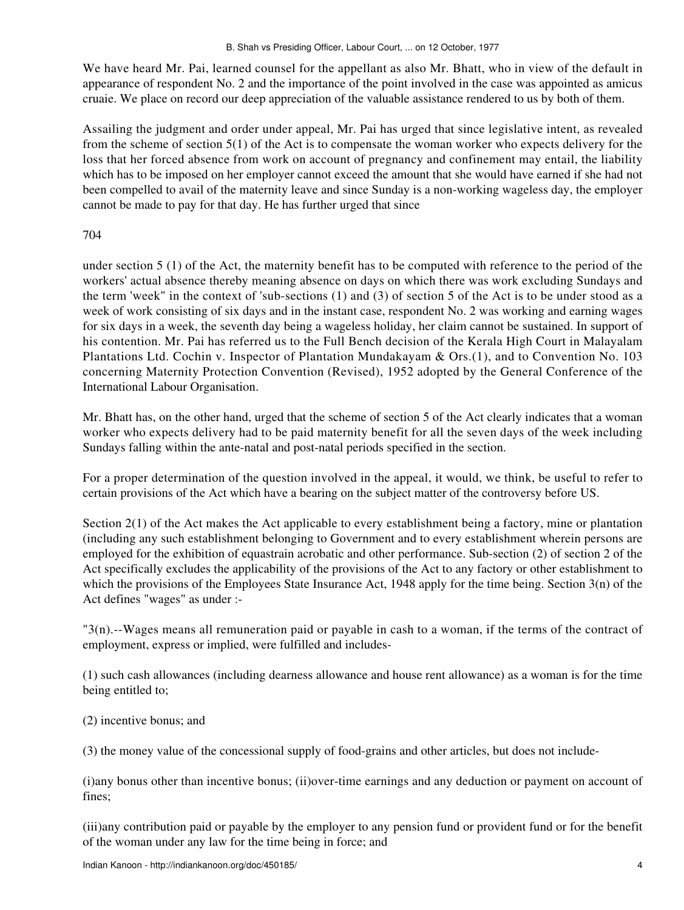We have heard Mr. Pai, learned counsel for the appellant as also Mr. Bhatt, who in view of the default in appearance of respondent No. 2 and the importance of the point involved in the case was appointed as amicus cruaie. We place on record our deep appreciation of the valuable assistance rendered to us by both of them.

Assailing the judgment and order under appeal, Mr. Pai has urged that since legislative intent, as revealed from the scheme of section 5(1) of the Act is to compensate the woman worker who expects delivery for the loss that her forced absence from work on account of pregnancy and confinement may entail, the liability which has to be imposed on her employer cannot exceed the amount that she would have earned if she had not been compelled to avail of the maternity leave and since Sunday is a non-working wageless day, the employer cannot be made to pay for that day. He has further urged that since

## 704

under section 5 (1) of the Act, the maternity benefit has to be computed with reference to the period of the workers' actual absence thereby meaning absence on days on which there was work excluding Sundays and the term 'week" in the context of 'sub-sections (1) and (3) of section 5 of the Act is to be under stood as a week of work consisting of six days and in the instant case, respondent No. 2 was working and earning wages for six days in a week, the seventh day being a wageless holiday, her claim cannot be sustained. In support of his contention. Mr. Pai has referred us to the Full Bench decision of the Kerala High Court in Malayalam Plantations Ltd. Cochin v. Inspector of Plantation Mundakayam & Ors.(1), and to Convention No. 103 concerning Maternity Protection Convention (Revised), 1952 adopted by the General Conference of the International Labour Organisation.

Mr. Bhatt has, on the other hand, urged that the scheme of section 5 of the Act clearly indicates that a woman worker who expects delivery had to be paid maternity benefit for all the seven days of the week including Sundays falling within the ante-natal and post-natal periods specified in the section.

For a proper determination of the question involved in the appeal, it would, we think, be useful to refer to certain provisions of the Act which have a bearing on the subject matter of the controversy before US.

Section 2(1) of the Act makes the Act applicable to every establishment being a factory, mine or plantation (including any such establishment belonging to Government and to every establishment wherein persons are employed for the exhibition of equastrain acrobatic and other performance. Sub-section (2) of section 2 of the Act specifically excludes the applicability of the provisions of the Act to any factory or other establishment to which the provisions of the Employees State Insurance Act, 1948 apply for the time being. Section 3(n) of the Act defines "wages" as under :-

"3(n).--Wages means all remuneration paid or payable in cash to a woman, if the terms of the contract of employment, express or implied, were fulfilled and includes-

(1) such cash allowances (including dearness allowance and house rent allowance) as a woman is for the time being entitled to;

## (2) incentive bonus; and

(3) the money value of the concessional supply of food-grains and other articles, but does not include-

(i)any bonus other than incentive bonus; (ii)over-time earnings and any deduction or payment on account of fines;

(iii)any contribution paid or payable by the employer to any pension fund or provident fund or for the benefit of the woman under any law for the time being in force; and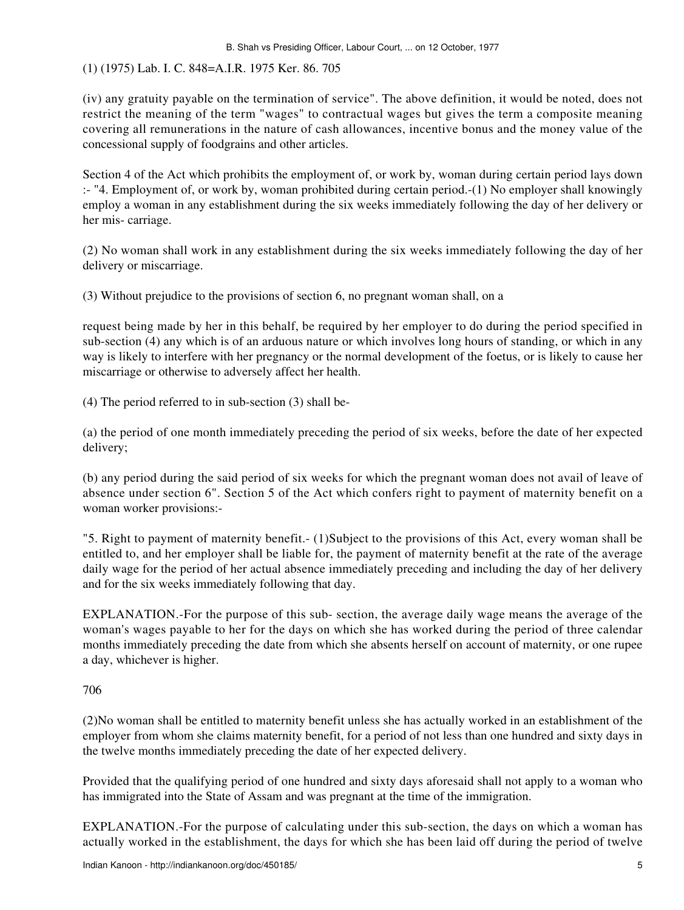## (1) (1975) Lab. I. C. 848=A.I.R. 1975 Ker. 86. 705

(iv) any gratuity payable on the termination of service". The above definition, it would be noted, does not restrict the meaning of the term "wages" to contractual wages but gives the term a composite meaning covering all remunerations in the nature of cash allowances, incentive bonus and the money value of the concessional supply of foodgrains and other articles.

Section 4 of the Act which prohibits the employment of, or work by, woman during certain period lays down :- "4. Employment of, or work by, woman prohibited during certain period.-(1) No employer shall knowingly employ a woman in any establishment during the six weeks immediately following the day of her delivery or her mis- carriage.

(2) No woman shall work in any establishment during the six weeks immediately following the day of her delivery or miscarriage.

(3) Without prejudice to the provisions of section 6, no pregnant woman shall, on a

request being made by her in this behalf, be required by her employer to do during the period specified in sub-section (4) any which is of an arduous nature or which involves long hours of standing, or which in any way is likely to interfere with her pregnancy or the normal development of the foetus, or is likely to cause her miscarriage or otherwise to adversely affect her health.

(4) The period referred to in sub-section (3) shall be-

(a) the period of one month immediately preceding the period of six weeks, before the date of her expected delivery;

(b) any period during the said period of six weeks for which the pregnant woman does not avail of leave of absence under section 6". Section 5 of the Act which confers right to payment of maternity benefit on a woman worker provisions:-

"5. Right to payment of maternity benefit.- (1)Subject to the provisions of this Act, every woman shall be entitled to, and her employer shall be liable for, the payment of maternity benefit at the rate of the average daily wage for the period of her actual absence immediately preceding and including the day of her delivery and for the six weeks immediately following that day.

EXPLANATION.-For the purpose of this sub- section, the average daily wage means the average of the woman's wages payable to her for the days on which she has worked during the period of three calendar months immediately preceding the date from which she absents herself on account of maternity, or one rupee a day, whichever is higher.

## 706

(2)No woman shall be entitled to maternity benefit unless she has actually worked in an establishment of the employer from whom she claims maternity benefit, for a period of not less than one hundred and sixty days in the twelve months immediately preceding the date of her expected delivery.

Provided that the qualifying period of one hundred and sixty days aforesaid shall not apply to a woman who has immigrated into the State of Assam and was pregnant at the time of the immigration.

EXPLANATION.-For the purpose of calculating under this sub-section, the days on which a woman has actually worked in the establishment, the days for which she has been laid off during the period of twelve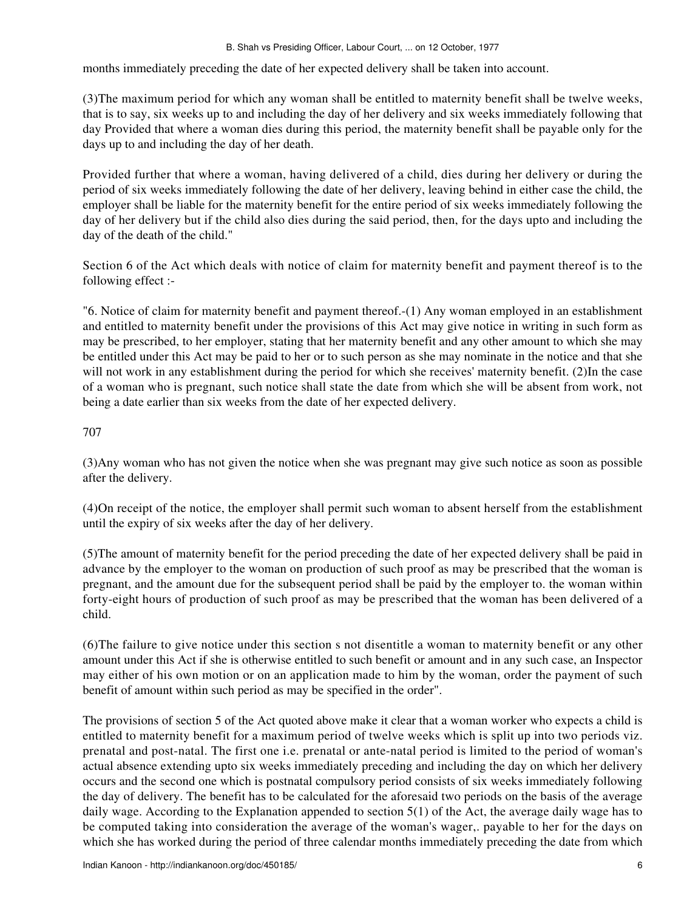months immediately preceding the date of her expected delivery shall be taken into account.

(3)The maximum period for which any woman shall be entitled to maternity benefit shall be twelve weeks, that is to say, six weeks up to and including the day of her delivery and six weeks immediately following that day Provided that where a woman dies during this period, the maternity benefit shall be payable only for the days up to and including the day of her death.

Provided further that where a woman, having delivered of a child, dies during her delivery or during the period of six weeks immediately following the date of her delivery, leaving behind in either case the child, the employer shall be liable for the maternity benefit for the entire period of six weeks immediately following the day of her delivery but if the child also dies during the said period, then, for the days upto and including the day of the death of the child."

Section 6 of the Act which deals with notice of claim for maternity benefit and payment thereof is to the following effect :-

"6. Notice of claim for maternity benefit and payment thereof.-(1) Any woman employed in an establishment and entitled to maternity benefit under the provisions of this Act may give notice in writing in such form as may be prescribed, to her employer, stating that her maternity benefit and any other amount to which she may be entitled under this Act may be paid to her or to such person as she may nominate in the notice and that she will not work in any establishment during the period for which she receives' maternity benefit. (2)In the case of a woman who is pregnant, such notice shall state the date from which she will be absent from work, not being a date earlier than six weeks from the date of her expected delivery.

## 707

(3)Any woman who has not given the notice when she was pregnant may give such notice as soon as possible after the delivery.

(4)On receipt of the notice, the employer shall permit such woman to absent herself from the establishment until the expiry of six weeks after the day of her delivery.

(5)The amount of maternity benefit for the period preceding the date of her expected delivery shall be paid in advance by the employer to the woman on production of such proof as may be prescribed that the woman is pregnant, and the amount due for the subsequent period shall be paid by the employer to. the woman within forty-eight hours of production of such proof as may be prescribed that the woman has been delivered of a child.

(6)The failure to give notice under this section s not disentitle a woman to maternity benefit or any other amount under this Act if she is otherwise entitled to such benefit or amount and in any such case, an Inspector may either of his own motion or on an application made to him by the woman, order the payment of such benefit of amount within such period as may be specified in the order".

The provisions of section 5 of the Act quoted above make it clear that a woman worker who expects a child is entitled to maternity benefit for a maximum period of twelve weeks which is split up into two periods viz. prenatal and post-natal. The first one i.e. prenatal or ante-natal period is limited to the period of woman's actual absence extending upto six weeks immediately preceding and including the day on which her delivery occurs and the second one which is postnatal compulsory period consists of six weeks immediately following the day of delivery. The benefit has to be calculated for the aforesaid two periods on the basis of the average daily wage. According to the Explanation appended to section 5(1) of the Act, the average daily wage has to be computed taking into consideration the average of the woman's wager,. payable to her for the days on which she has worked during the period of three calendar months immediately preceding the date from which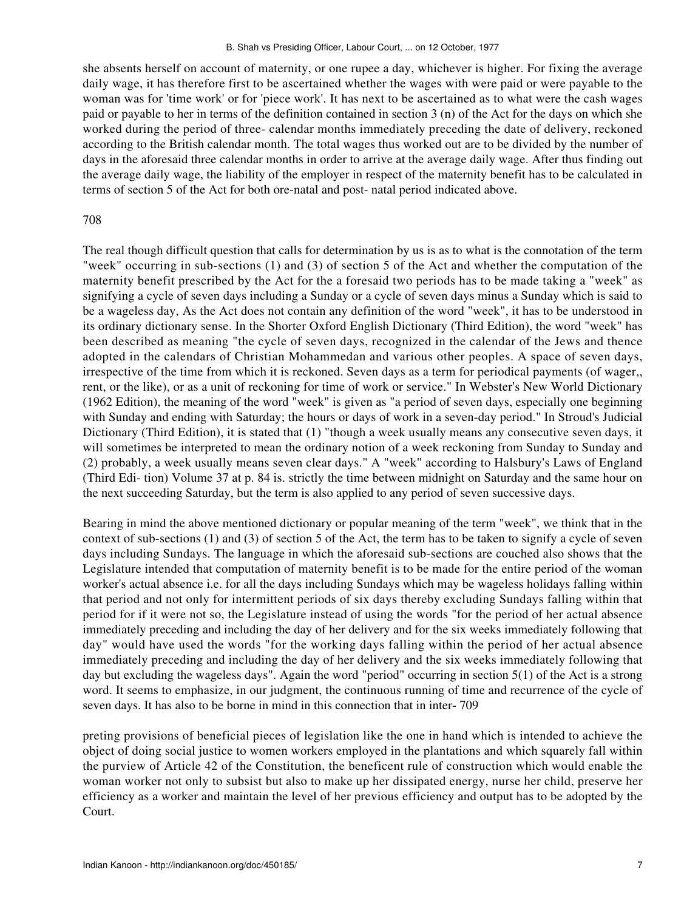she absents herself on account of maternity, or one rupee a day, whichever is higher. For fixing the average daily wage, it has therefore first to be ascertained whether the wages with were paid or were payable to the woman was for 'time work' or for 'piece work'. It has next to be ascertained as to what were the cash wages paid or payable to her in terms of the definition contained in section 3 (n) of the Act for the days on which she worked during the period of three- calendar months immediately preceding the date of delivery, reckoned according to the British calendar month. The total wages thus worked out are to be divided by the number of days in the aforesaid three calendar months in order to arrive at the average daily wage. After thus finding out the average daily wage, the liability of the employer in respect of the maternity benefit has to be calculated in terms of section 5 of the Act for both ore-natal and post- natal period indicated above.

#### 708

The real though difficult question that calls for determination by us is as to what is the connotation of the term "week" occurring in sub-sections (1) and (3) of section 5 of the Act and whether the computation of the maternity benefit prescribed by the Act for the a foresaid two periods has to be made taking a "week" as signifying a cycle of seven days including a Sunday or a cycle of seven days minus a Sunday which is said to be a wageless day, As the Act does not contain any definition of the word "week", it has to be understood in its ordinary dictionary sense. In the Shorter Oxford English Dictionary (Third Edition), the word "week" has been described as meaning "the cycle of seven days, recognized in the calendar of the Jews and thence adopted in the calendars of Christian Mohammedan and various other peoples. A space of seven days, irrespective of the time from which it is reckoned. Seven days as a term for periodical payments (of wager,, rent, or the like), or as a unit of reckoning for time of work or service." In Webster's New World Dictionary (1962 Edition), the meaning of the word "week" is given as "a period of seven days, especially one beginning with Sunday and ending with Saturday; the hours or days of work in a seven-day period." In Stroud's Judicial Dictionary (Third Edition), it is stated that (1) "though a week usually means any consecutive seven days, it will sometimes be interpreted to mean the ordinary notion of a week reckoning from Sunday to Sunday and (2) probably, a week usually means seven clear days." A "week" according to Halsbury's Laws of England (Third Edi- tion) Volume 37 at p. 84 is. strictly the time between midnight on Saturday and the same hour on the next succeeding Saturday, but the term is also applied to any period of seven successive days.

Bearing in mind the above mentioned dictionary or popular meaning of the term "week", we think that in the context of sub-sections (1) and (3) of section 5 of the Act, the term has to be taken to signify a cycle of seven days including Sundays. The language in which the aforesaid sub-sections are couched also shows that the Legislature intended that computation of maternity benefit is to be made for the entire period of the woman worker's actual absence i.e. for all the days including Sundays which may be wageless holidays falling within that period and not only for intermittent periods of six days thereby excluding Sundays falling within that period for if it were not so, the Legislature instead of using the words "for the period of her actual absence immediately preceding and including the day of her delivery and for the six weeks immediately following that day" would have used the words "for the working days falling within the period of her actual absence immediately preceding and including the day of her delivery and the six weeks immediately following that day but excluding the wageless days". Again the word "period" occurring in section 5(1) of the Act is a strong word. It seems to emphasize, in our judgment, the continuous running of time and recurrence of the cycle of seven days. It has also to be borne in mind in this connection that in inter- 709

preting provisions of beneficial pieces of legislation like the one in hand which is intended to achieve the object of doing social justice to women workers employed in the plantations and which squarely fall within the purview of Article 42 of the Constitution, the beneficent rule of construction which would enable the woman worker not only to subsist but also to make up her dissipated energy, nurse her child, preserve her efficiency as a worker and maintain the level of her previous efficiency and output has to be adopted by the Court.